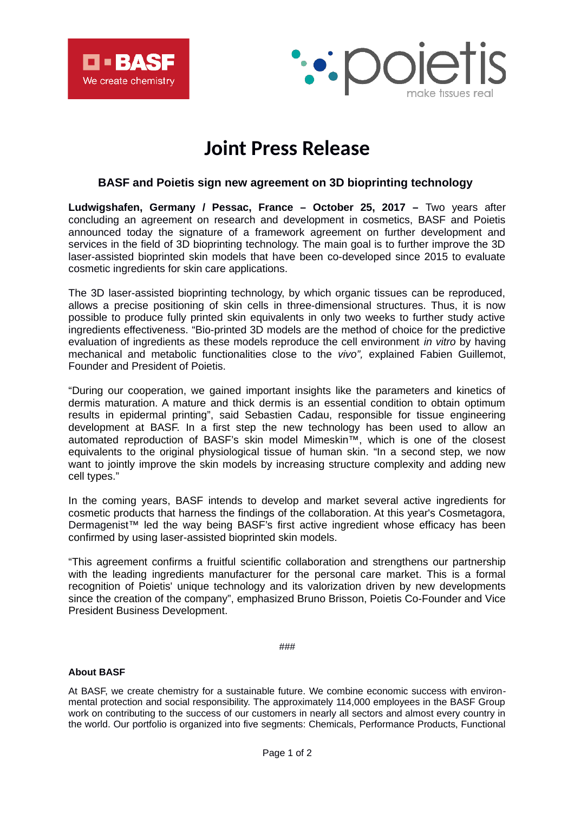



# **Joint Press Release**

## **BASF and Poietis sign new agreement on 3D bioprinting technology**

**Ludwigshafen, Germany / Pessac, France – October 25, 2017 –** Two years after concluding an agreement on research and development in cosmetics, BASF and Poietis announced today the signature of a framework agreement on further development and services in the field of 3D bioprinting technology. The main goal is to further improve the 3D laser-assisted bioprinted skin models that have been co-developed since 2015 to evaluate cosmetic ingredients for skin care applications.

The 3D laser-assisted bioprinting technology, by which organic tissues can be reproduced, allows a precise positioning of skin cells in three-dimensional structures. Thus, it is now possible to produce fully printed skin equivalents in only two weeks to further study active ingredients effectiveness. "Bio-printed 3D models are the method of choice for the predictive evaluation of ingredients as these models reproduce the cell environment *in vitro* by having mechanical and metabolic functionalities close to the *vivo",* explained Fabien Guillemot, Founder and President of Poietis.

"During our cooperation, we gained important insights like the parameters and kinetics of dermis maturation. A mature and thick dermis is an essential condition to obtain optimum results in epidermal printing", said Sebastien Cadau, responsible for tissue engineering development at BASF. In a first step the new technology has been used to allow an automated reproduction of BASF's skin model Mimeskin™, which is one of the closest equivalents to the original physiological tissue of human skin. "In a second step, we now want to jointly improve the skin models by increasing structure complexity and adding new cell types."

In the coming years, BASF intends to develop and market several active ingredients for cosmetic products that harness the findings of the collaboration. At this year's Cosmetagora, Dermagenist™ led the way being BASF's first active ingredient whose efficacy has been confirmed by using laser-assisted bioprinted skin models.

"This agreement confirms a fruitful scientific collaboration and strengthens our partnership with the leading ingredients manufacturer for the personal care market. This is a formal recognition of Poietis' unique technology and its valorization driven by new developments since the creation of the company", emphasized Bruno Brisson, Poietis Co-Founder and Vice President Business Development.

###

#### **About BASF**

At BASF, we create chemistry for a sustainable future. We combine economic success with environmental protection and social responsibility. The approximately 114,000 employees in the BASF Group work on contributing to the success of our customers in nearly all sectors and almost every country in the world. Our portfolio is organized into five segments: Chemicals, Performance Products, Functional